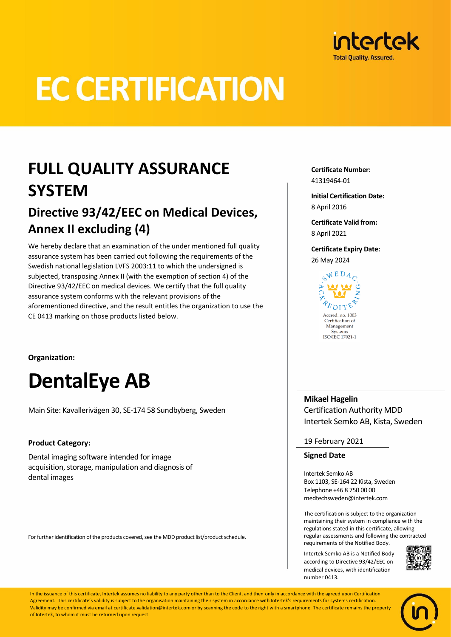

# **EC CERTIFICATION**

# **FULL QUALITY ASSURANCE SYSTEM**

### **Directive 93/42/EEC on Medical Devices, Annex II excluding (4)**

We hereby declare that an examination of the under mentioned full quality assurance system has been carried out following the requirements of the Swedish national legislation LVFS 2003:11 to which the undersigned is subjected, transposing Annex II (with the exemption of section 4) of the Directive 93/42/EEC on medical devices. We certify that the full quality assurance system conforms with the relevant provisions of the aforementioned directive, and the result entitles the organization to use the CE 0413 marking on those products listed below.

**Organization:**

# **DentalEye AB**

Main Site: Kavallerivägen 30, SE-174 58 Sundbyberg, Sweden

### **Product Category:**

Dental imaging software intended for image acquisition, storage, manipulation and diagnosis of dental images

For further identification of the products covered, see the MDD product list/product schedule.

**Certificate Number:** 41319464-01

**Initial Certification Date:** 8 April 2016

**Certificate Valid from:** 8 April 2021

**Certificate Expiry Date:** 26 May 2024

> $C^{WEDA}$  $E_{\text{DIT}}$ Accred. no. 1003 Certification of Management Systems ISO/IEC 17021-1

**Mikael Hagelin** Certification Authority MDD Intertek Semko AB, Kista, Sweden

19 February 2021

#### **Signed Date**

Intertek Semko AB Box 1103, SE-164 22 Kista, Sweden Telephone +46 8 750 00 00 medtechsweden@intertek.com

The certification is subject to the organization maintaining their system in compliance with the regulations stated in this certificate, allowing regular assessments and following the contracted requirements of the Notified Body.

Intertek Semko AB is a Notified Body according to Directive 93/42/EEC on medical devices, with identification number 0413*.*



In the issuance of this certificate, Intertek assumes no liability to any party other than to the Client, and then only in accordance with the agreed upon Certification Agreement. This certificate's validity is subject to the organisation maintaining their system in accordance with Intertek's requirements for systems certification Validity may be confirmed via email at certificate.validation@intertek.com or by scanning the code to the right with a smartphone. The certificate remains the property of Intertek, to whom it must be returned upon request

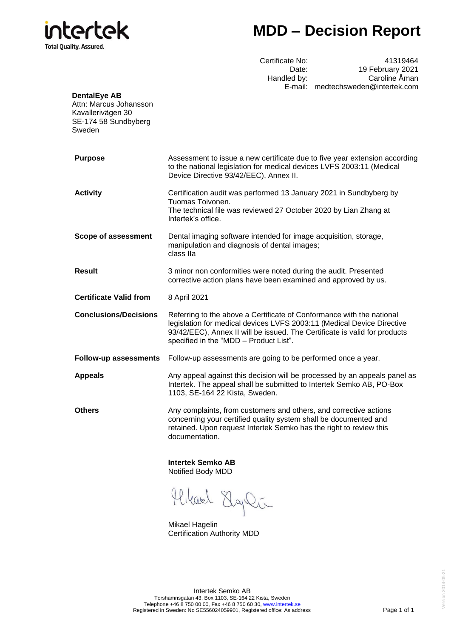

## **MDD – Decision Report**

Certificate No: 41319464<br>Date: 19 February 2021 Date: 19 February 2021<br>Handled by: Caroline Åman Caroline Åman E-mail: medtechsweden@intertek.com

| <b>DentalEye AB</b><br>Attn: Marcus Johansson<br>Kavallerivägen 30<br>SE-174 58 Sundbyberg<br>Sweden |                                                                                                                                                                                                                                                                         |  |  |  |
|------------------------------------------------------------------------------------------------------|-------------------------------------------------------------------------------------------------------------------------------------------------------------------------------------------------------------------------------------------------------------------------|--|--|--|
| <b>Purpose</b>                                                                                       | Assessment to issue a new certificate due to five year extension according<br>to the national legislation for medical devices LVFS 2003:11 (Medical<br>Device Directive 93/42/EEC), Annex II.                                                                           |  |  |  |
| <b>Activity</b>                                                                                      | Certification audit was performed 13 January 2021 in Sundbyberg by<br>Tuomas Toivonen.<br>The technical file was reviewed 27 October 2020 by Lian Zhang at<br>Intertek's office.                                                                                        |  |  |  |
| <b>Scope of assessment</b>                                                                           | Dental imaging software intended for image acquisition, storage,<br>manipulation and diagnosis of dental images;<br>class IIa                                                                                                                                           |  |  |  |
| <b>Result</b>                                                                                        | 3 minor non conformities were noted during the audit. Presented<br>corrective action plans have been examined and approved by us.                                                                                                                                       |  |  |  |
| <b>Certificate Valid from</b>                                                                        | 8 April 2021                                                                                                                                                                                                                                                            |  |  |  |
| <b>Conclusions/Decisions</b>                                                                         | Referring to the above a Certificate of Conformance with the national<br>legislation for medical devices LVFS 2003:11 (Medical Device Directive<br>93/42/EEC), Annex II will be issued. The Certificate is valid for products<br>specified in the "MDD - Product List". |  |  |  |
| <b>Follow-up assessments</b>                                                                         | Follow-up assessments are going to be performed once a year.                                                                                                                                                                                                            |  |  |  |
| <b>Appeals</b>                                                                                       | Any appeal against this decision will be processed by an appeals panel as<br>Intertek. The appeal shall be submitted to Intertek Semko AB, PO-Box<br>1103, SE-164 22 Kista, Sweden.                                                                                     |  |  |  |
| <b>Others</b>                                                                                        | Any complaints, from customers and others, and corrective actions<br>concerning your certified quality system shall be documented and<br>retained. Upon request Intertek Semko has the right to review this<br>documentation.                                           |  |  |  |
|                                                                                                      | <b>Intertek Semko AB</b><br>Notified Body MDD                                                                                                                                                                                                                           |  |  |  |
|                                                                                                      |                                                                                                                                                                                                                                                                         |  |  |  |

Hikard Elgli

Mikael Hagelin Certification Authority MDD